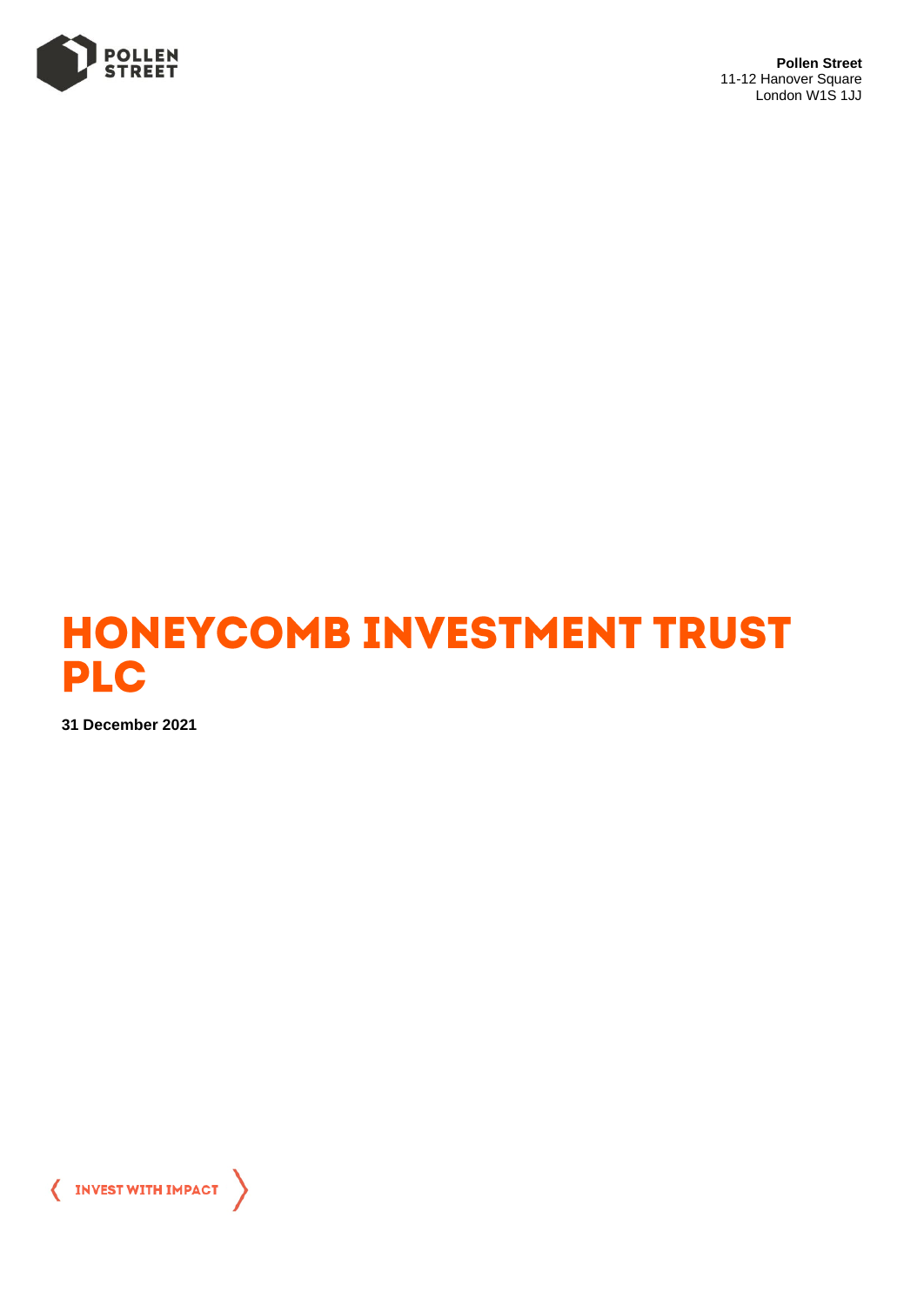

**Pollen Street** 11-12 Hanover Square London W1S 1JJ



**31 December 2021**

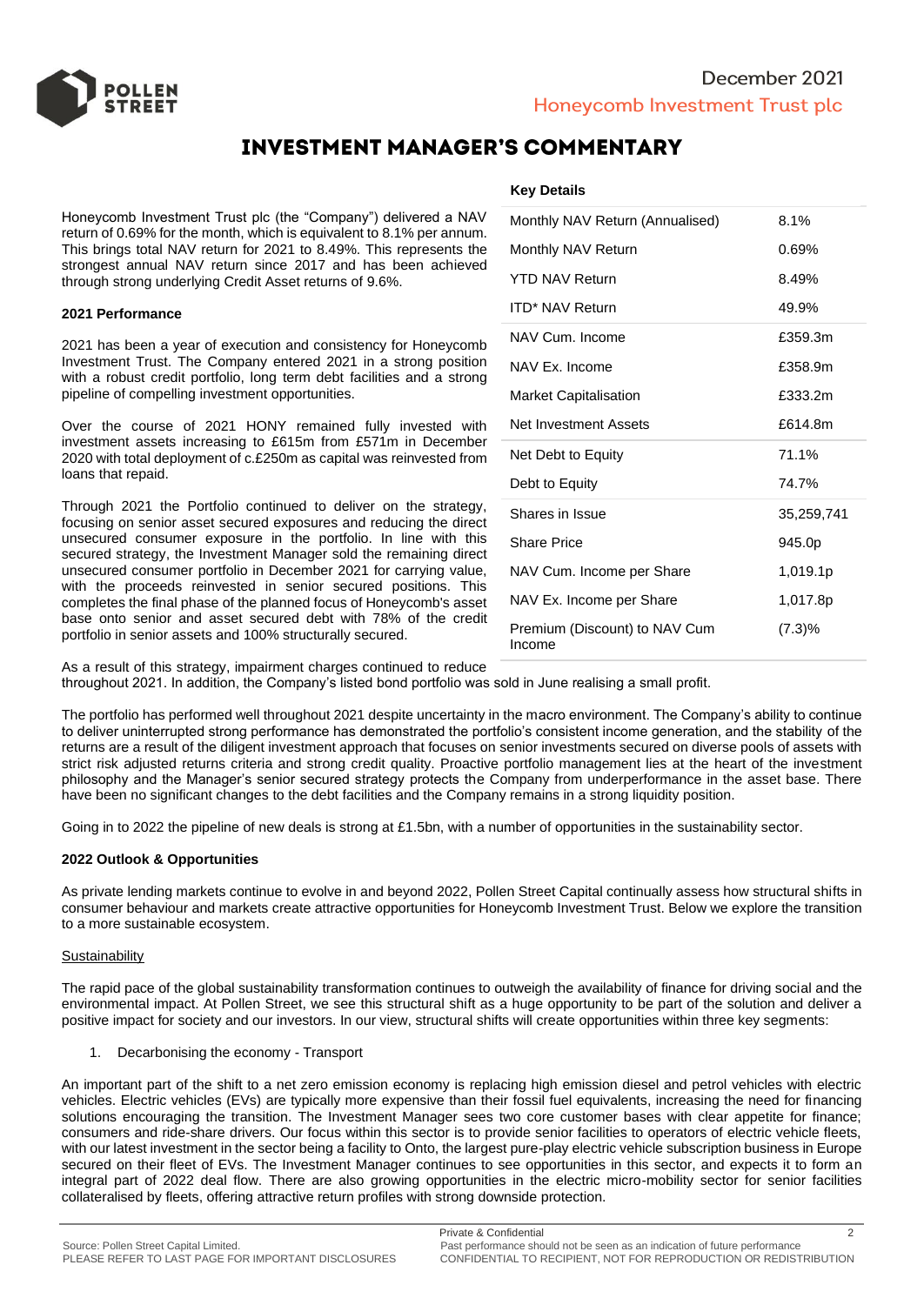

# **INVESTMENT MANAGER'S COMMENTARY**

Honeycomb Investment Trust plc (the "Company") delivered a NAV return of 0.69% for the month, which is equivalent to 8.1% per annum. This brings total NAV return for 2021 to 8.49%. This represents the strongest annual NAV return since 2017 and has been achieved through strong underlying Credit Asset returns of 9.6%.

#### **2021 Performance**

2021 has been a year of execution and consistency for Honeycomb Investment Trust. The Company entered 2021 in a strong position with a robust credit portfolio, long term debt facilities and a strong pipeline of compelling investment opportunities.

Over the course of 2021 HONY remained fully invested with investment assets increasing to £615m from £571m in December 2020 with total deployment of c.£250m as capital was reinvested from loans that repaid.

Through 2021 the Portfolio continued to deliver on the strategy, focusing on senior asset secured exposures and reducing the direct unsecured consumer exposure in the portfolio. In line with this secured strategy, the Investment Manager sold the remaining direct unsecured consumer portfolio in December 2021 for carrying value, with the proceeds reinvested in senior secured positions. This completes the final phase of the planned focus of Honeycomb's asset base onto senior and asset secured debt with 78% of the credit portfolio in senior assets and 100% structurally secured.

## **Key Details**

| Monthly NAV Return (Annualised)         | 8.1%       |  |  |  |  |
|-----------------------------------------|------------|--|--|--|--|
| Monthly NAV Return                      | $0.69\%$   |  |  |  |  |
| <b>YTD NAV Return</b>                   | 8.49%      |  |  |  |  |
| <b>ITD* NAV Return</b>                  | 49.9%      |  |  |  |  |
| NAV Cum. Income                         | £359.3m    |  |  |  |  |
| NAV Ex. Income                          | £358.9m    |  |  |  |  |
| <b>Market Capitalisation</b>            | £333.2m    |  |  |  |  |
| Net Investment Assets                   | £614.8m    |  |  |  |  |
| Net Debt to Equity                      | 71.1%      |  |  |  |  |
| Debt to Equity                          | 74.7%      |  |  |  |  |
| Shares in Issue                         | 35,259,741 |  |  |  |  |
| <b>Share Price</b>                      | 945.0p     |  |  |  |  |
| NAV Cum. Income per Share               | 1,019.1p   |  |  |  |  |
| NAV Ex. Income per Share                | 1,017.8p   |  |  |  |  |
| Premium (Discount) to NAV Cum<br>Income | (7.3)%     |  |  |  |  |

As a result of this strategy, impairment charges continued to reduce throughout 2021. In addition, the Company's listed bond portfolio was sold in June realising a small profit.

The portfolio has performed well throughout 2021 despite uncertainty in the macro environment. The Company's ability to continue to deliver uninterrupted strong performance has demonstrated the portfolio's consistent income generation, and the stability of the returns are a result of the diligent investment approach that focuses on senior investments secured on diverse pools of assets with strict risk adjusted returns criteria and strong credit quality. Proactive portfolio management lies at the heart of the investment philosophy and the Manager's senior secured strategy protects the Company from underperformance in the asset base. There have been no significant changes to the debt facilities and the Company remains in a strong liquidity position.

Going in to 2022 the pipeline of new deals is strong at £1.5bn, with a number of opportunities in the sustainability sector.

#### **2022 Outlook & Opportunities**

As private lending markets continue to evolve in and beyond 2022, Pollen Street Capital continually assess how structural shifts in consumer behaviour and markets create attractive opportunities for Honeycomb Investment Trust. Below we explore the transition to a more sustainable ecosystem.

#### **Sustainability**

The rapid pace of the global sustainability transformation continues to outweigh the availability of finance for driving social and the environmental impact. At Pollen Street, we see this structural shift as a huge opportunity to be part of the solution and deliver a positive impact for society and our investors. In our view, structural shifts will create opportunities within three key segments:

1. Decarbonising the economy - Transport

An important part of the shift to a net zero emission economy is replacing high emission diesel and petrol vehicles with electric vehicles. Electric vehicles (EVs) are typically more expensive than their fossil fuel equivalents, increasing the need for financing solutions encouraging the transition. The Investment Manager sees two core customer bases with clear appetite for finance; consumers and ride-share drivers. Our focus within this sector is to provide senior facilities to operators of electric vehicle fleets, with our latest investment in the sector being a facility to Onto, the largest pure-play electric vehicle subscription business in Europe secured on their fleet of EVs. The Investment Manager continues to see opportunities in this sector, and expects it to form an integral part of 2022 deal flow. There are also growing opportunities in the electric micro-mobility sector for senior facilities collateralised by fleets, offering attractive return profiles with strong downside protection.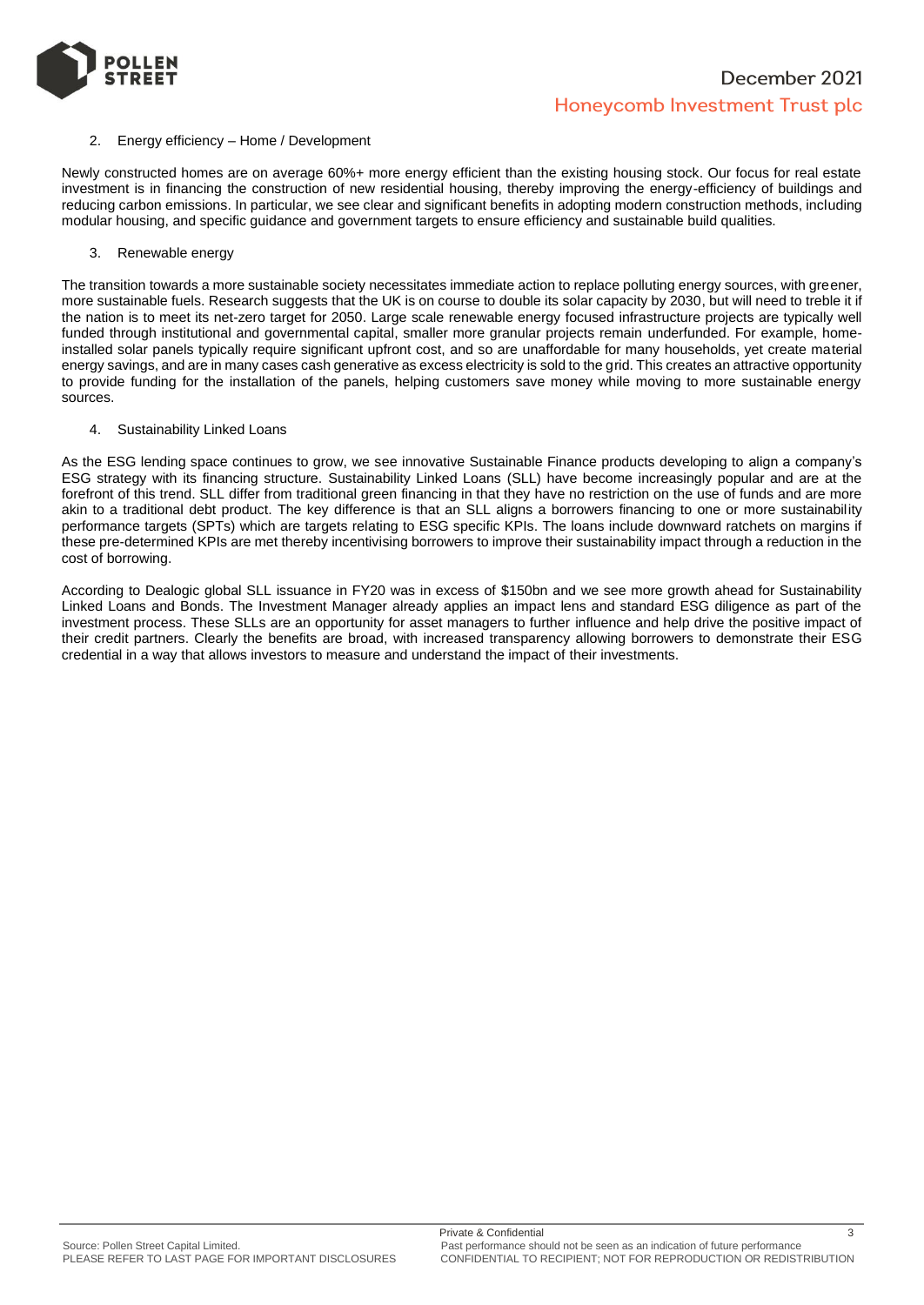

### 2. Energy efficiency – Home / Development

Newly constructed homes are on average 60%+ more energy efficient than the existing housing stock. Our focus for real estate investment is in financing the construction of new residential housing, thereby improving the energy-efficiency of buildings and reducing carbon emissions. In particular, we see clear and significant benefits in adopting modern construction methods, including modular housing, and specific guidance and government targets to ensure efficiency and sustainable build qualities.

3. Renewable energy

The transition towards a more sustainable society necessitates immediate action to replace polluting energy sources, with greener, more sustainable fuels. Research suggests that the UK is on course to double its solar capacity by 2030, but will need to treble it if the nation is to meet its net-zero target for 2050. Large scale renewable energy focused infrastructure projects are typically well funded through institutional and governmental capital, smaller more granular projects remain underfunded. For example, homeinstalled solar panels typically require significant upfront cost, and so are unaffordable for many households, yet create material energy savings, and are in many cases cash generative as excess electricity is sold to the grid. This creates an attractive opportunity to provide funding for the installation of the panels, helping customers save money while moving to more sustainable energy sources.

4. Sustainability Linked Loans

As the ESG lending space continues to grow, we see innovative Sustainable Finance products developing to align a company's ESG strategy with its financing structure. Sustainability Linked Loans (SLL) have become increasingly popular and are at the forefront of this trend. SLL differ from traditional green financing in that they have no restriction on the use of funds and are more akin to a traditional debt product. The key difference is that an SLL aligns a borrowers financing to one or more sustainability performance targets (SPTs) which are targets relating to ESG specific KPIs. The loans include downward ratchets on margins if these pre-determined KPIs are met thereby incentivising borrowers to improve their sustainability impact through a reduction in the cost of borrowing.

According to Dealogic global SLL issuance in FY20 was in excess of \$150bn and we see more growth ahead for Sustainability Linked Loans and Bonds. The Investment Manager already applies an impact lens and standard ESG diligence as part of the investment process. These SLLs are an opportunity for asset managers to further influence and help drive the positive impact of their credit partners. Clearly the benefits are broad, with increased transparency allowing borrowers to demonstrate their ESG credential in a way that allows investors to measure and understand the impact of their investments.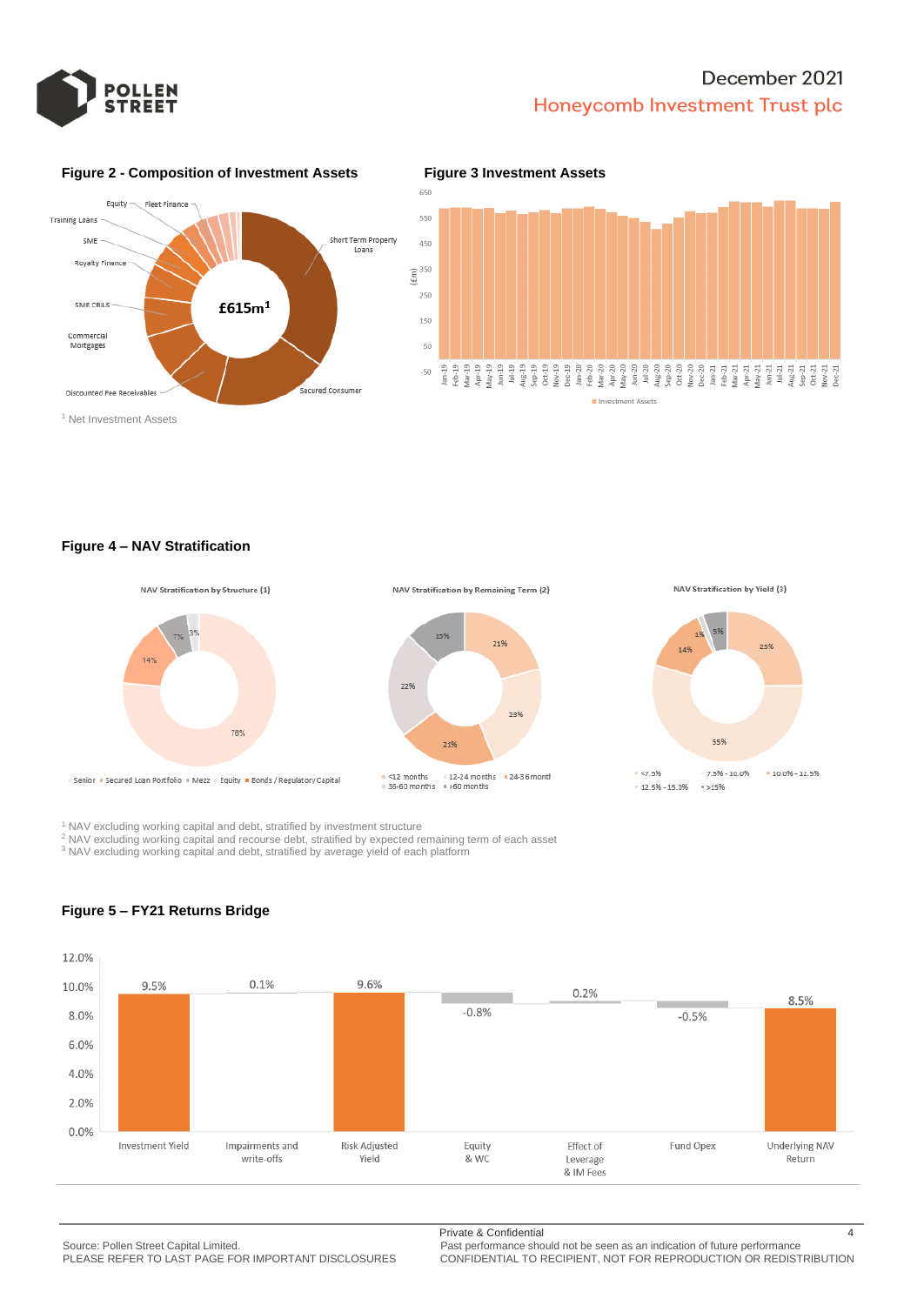



### **Figure 2 - Composition of Investment Assets Figure 3 Investment Assets**



<sup>1</sup> Net Investment Assets

**Figure 4 – NAV Stratification**



<sup>1</sup> NAV excluding working capital and debt, stratified by investment structure

<sup>2</sup> NAV excluding working capital and recourse debt, stratified by expected remaining term of each asset

<sup>3</sup> NAV excluding working capital and debt, stratified by average yield of each platform



## **Figure 5 – FY21 Returns Bridge**

Source: Pollen Street Capital Limited.<br>PLEASE REFER TO LAST PAGE FOR IMPORTANT DISCLOSURES CONFIDENTIAL TO RECIPIENT, NOT FOR REPRODUCTION OR REDIST

Private & Confidential 4

PLEASE REFER TO LAST PAGE FOR IMPORTANT DISCLOSURES CONFIDENTIAL TO RECIPIENT, NOT FOR REPRODUCTION OR REDISTRIBUTION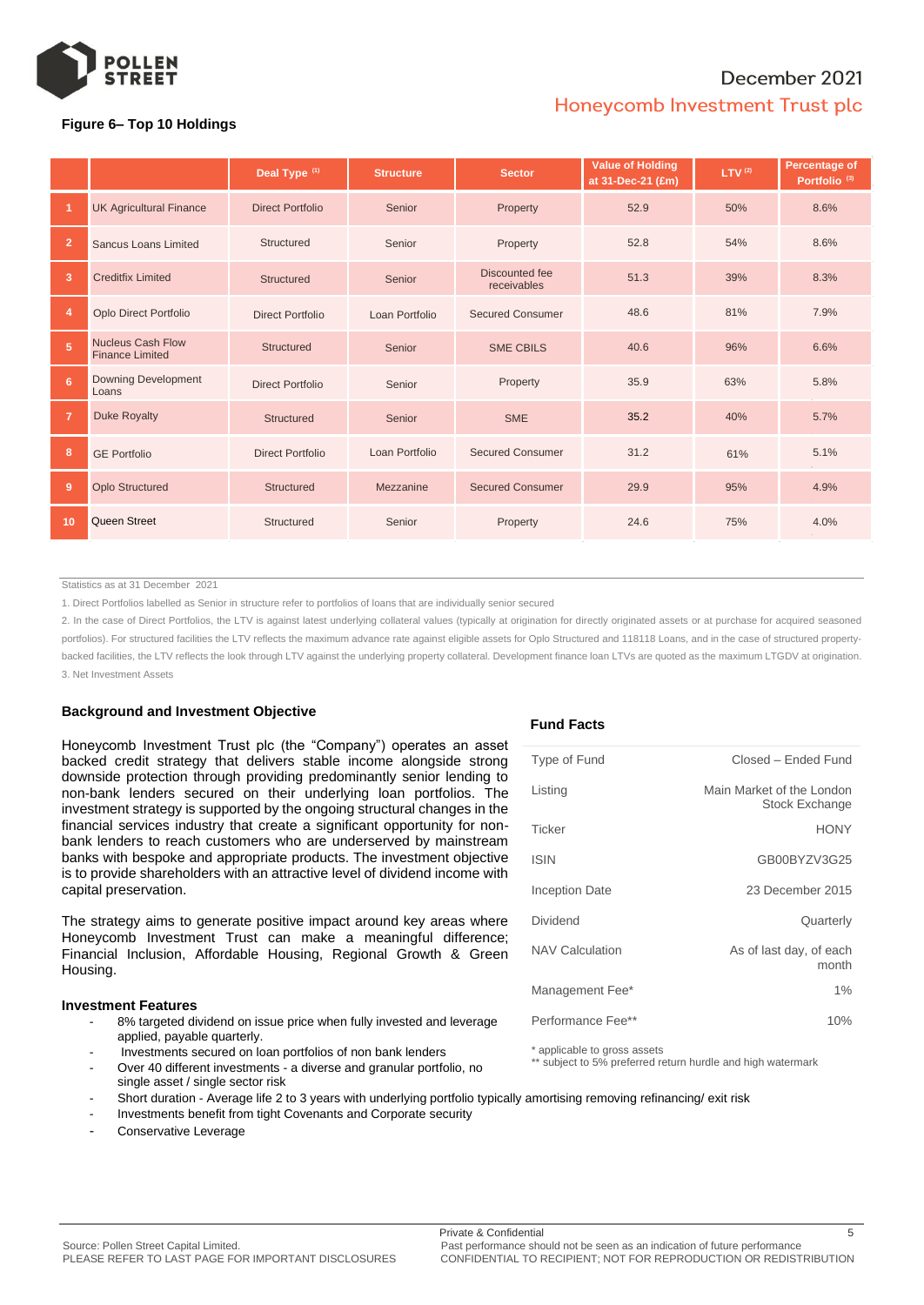

## **Figure 6– Top 10 Holdings**

|                |                                                    | Deal Type <sup>(1)</sup> | <b>Structure</b> | <b>Sector</b>                 | <b>Value of Holding</b><br>at 31-Dec-21 (£m) | LTV <sup>(2)</sup> | Percentage of<br>Portfolio <sup>(3)</sup> |  |
|----------------|----------------------------------------------------|--------------------------|------------------|-------------------------------|----------------------------------------------|--------------------|-------------------------------------------|--|
|                | <b>UK Agricultural Finance</b>                     | <b>Direct Portfolio</b>  | Senior           | Property                      | 52.9                                         | 50%                | 8.6%                                      |  |
| $\overline{2}$ | <b>Sancus Loans Limited</b>                        | Structured               | Senior           | Property                      | 52.8                                         | 54%                | 8.6%                                      |  |
| 3              | <b>Creditfix Limited</b>                           | <b>Structured</b>        | Senior           | Discounted fee<br>receivables | 51.3                                         | 39%                | 8.3%                                      |  |
| 4              | <b>Oplo Direct Portfolio</b>                       | <b>Direct Portfolio</b>  | Loan Portfolio   | <b>Secured Consumer</b>       | 48.6                                         | 81%                | 7.9%                                      |  |
| 5              | <b>Nucleus Cash Flow</b><br><b>Finance Limited</b> | Structured               | Senior           | <b>SME CBILS</b>              | 40.6                                         | 96%                | 6.6%                                      |  |
| 6              | <b>Downing Development</b><br>Loans                | Direct Portfolio         | Senior           | Property                      | 35.9                                         | 63%                | 5.8%                                      |  |
| $\overline{7}$ | <b>Duke Royalty</b>                                | Structured               | Senior           | <b>SME</b>                    | 35.2                                         | 40%                | 5.7%                                      |  |
| 8              | <b>GE Portfolio</b>                                | <b>Direct Portfolio</b>  | Loan Portfolio   | <b>Secured Consumer</b>       | 31.2                                         | 61%                | 5.1%                                      |  |
| 9              | <b>Oplo Structured</b>                             | Structured               | Mezzanine        | <b>Secured Consumer</b>       | 29.9                                         | 95%                | 4.9%                                      |  |
| 10             | <b>Queen Street</b>                                | Structured               | Senior           | Property                      | 24.6                                         | 75%                | 4.0%                                      |  |

Statistics as at 31 December 2021

1. Direct Portfolios labelled as Senior in structure refer to portfolios of loans that are individually senior secured

2. In the case of Direct Portfolios, the LTV is against latest underlying collateral values (typically at origination for directly originated assets or at purchase for acquired seasoned portfolios). For structured facilities the LTV reflects the maximum advance rate against eligible assets for Oplo Structured and 118118 Loans, and in the case of structured propertybacked facilities, the LTV reflects the look through LTV against the underlying property collateral. Development finance loan LTVs are quoted as the maximum LTGDV at origination. 3. Net Investment Assets

## **Background and Investment Objective**

Honeycomb Investment Trust plc (the "Company") operates an asset backed credit strategy that delivers stable income alongside strong downside protection through providing predominantly senior lending to non-bank lenders secured on their underlying loan portfolios. The investment strategy is supported by the ongoing structural changes in the financial services industry that create a significant opportunity for nonbank lenders to reach customers who are underserved by mainstream banks with bespoke and appropriate products. The investment objective is to provide shareholders with an attractive level of dividend income with capital preservation.

The strategy aims to generate positive impact around key areas where Honeycomb Investment Trust can make a meaningful difference; Financial Inclusion, Affordable Housing, Regional Growth & Green Housing.

#### **Investment Features**

- 8% targeted dividend on issue price when fully invested and leverage applied, payable quarterly.
- Investments secured on loan portfolios of non bank lenders
- Over 40 different investments a diverse and granular portfolio, no single asset / single sector risk

#### - Short duration - Average life 2 to 3 years with underlying portfolio typically amortising removing refinancing/ exit risk

- Investments benefit from tight Covenants and Corporate security
- Conservative Leverage

#### **Fund Facts**

| Type of Fund           | Closed - Ended Fund                                |
|------------------------|----------------------------------------------------|
| Listing                | Main Market of the London<br><b>Stock Exchange</b> |
| Ticker                 | <b>HONY</b>                                        |
| <b>ISIN</b>            | GB00BYZV3G25                                       |
| <b>Inception Date</b>  | 23 December 2015                                   |
| Dividend               | Quarterly                                          |
| <b>NAV Calculation</b> | As of last day, of each<br>month                   |
| Management Fee*        | $1\%$                                              |
| Performance Fee**      | 10%                                                |

\* applicable to gross assets

\*\* subject to 5% preferred return hurdle and high watermark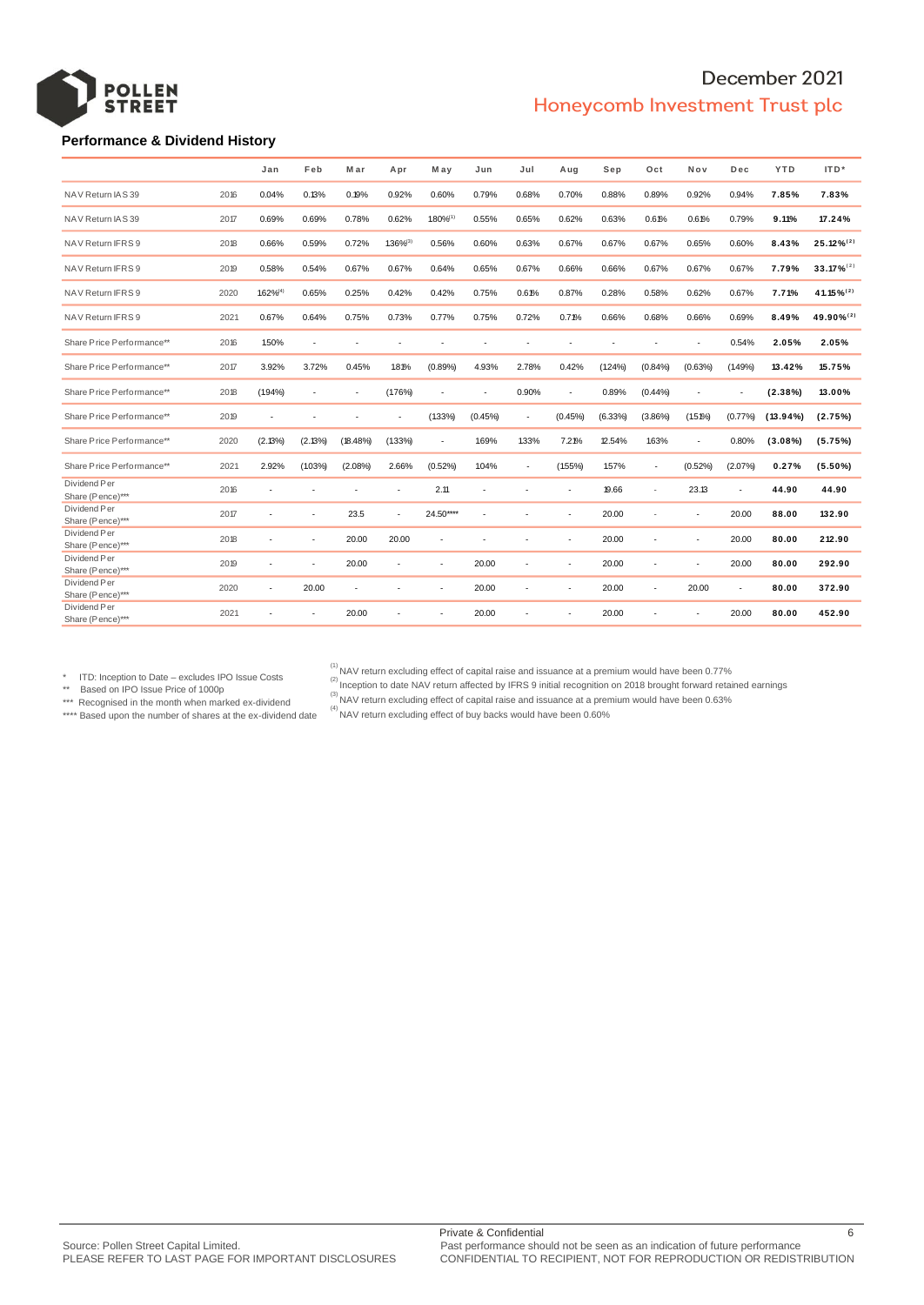

### **Performance & Dividend History**

|                                  |      | Jan            | Feb     | Mar         | Apr            | M ay       | Jun     | Jul                      | Aug        | Sep        | Oct        | Nov        | Dec     | <b>YTD</b>  | ITD*            |
|----------------------------------|------|----------------|---------|-------------|----------------|------------|---------|--------------------------|------------|------------|------------|------------|---------|-------------|-----------------|
| NAV Return IAS 39                | 2016 | 0.04%          | 0.13%   | 0.19%       | 0.92%          | 0.60%      | 0.79%   | 0.68%                    | 0.70%      | 0.88%      | 0.89%      | 0.92%      | 0.94%   | 7.85%       | 7.83%           |
| NAV Return IAS 39                | 2017 | 0.69%          | 0.69%   | 0.78%       | 0.62%          | 1.80%(1)   | 0.55%   | 0.65%                    | 0.62%      | 0.63%      | 0.61%      | 0.61%      | 0.79%   | 9.11%       | 17.24%          |
| NAV Return IFRS 9                | 2018 | 0.66%          | 0.59%   | 0.72%       | $1.36\%^{(3)}$ | 0.56%      | 0.60%   | 0.63%                    | 0.67%      | 0.67%      | 0.67%      | 0.65%      | 0.60%   | 8.43%       | $25.12\%^{(2)}$ |
| NAV Return IFRS 9                | 2019 | 0.58%          | 0.54%   | 0.67%       | 0.67%          | 0.64%      | 0.65%   | 0.67%                    | 0.66%      | 0.66%      | 0.67%      | 0.67%      | 0.67%   | 7.79%       | $33.17\%^{(2)}$ |
| NAV Return IFRS 9                | 2020 | $1.62\%^{(4)}$ | 0.65%   | 0.25%       | 0.42%          | 0.42%      | 0.75%   | 0.61%                    | 0.87%      | 0.28%      | 0.58%      | 0.62%      | 0.67%   | 7.71%       | 41.15%(2)       |
| NAV Return IFRS 9                | 2021 | 0.67%          | 0.64%   | 0.75%       | 0.73%          | 0.77%      | 0.75%   | 0.72%                    | 0.71%      | 0.66%      | 0.68%      | 0.66%      | 0.69%   | 8.49%       | 49.90%(2)       |
| Share Price Performance**        | 2016 | 1.50%          | ÷.      | ×           | ×.             | ×.         | ×       | $\overline{\phantom{a}}$ | ×          |            |            |            | 0.54%   | 2.05%       | 2.05%           |
| Share Price Performance**        | 2017 | 3.92%          | 3.72%   | 0.45%       | 1.81%          | (0.89%     | 4.93%   | 2.78%                    | 0.42%      | $(1.24\%)$ | (0.84%     | (0.63%     | (1.49%  | 13.42%      | 15.75%          |
| Share Price Performance**        | 2018 | $(1.94\%)$     | ٠       |             | (1.76%)        | ÷,         | ×       | 0.90%                    |            | 0.89%      | (0.44%     |            |         | $(2.38\%)$  | 13.00%          |
| Share Price Performance**        | 2019 | ٠              |         |             |                | $(1.33\%)$ | (0.45%) | $\overline{\phantom{a}}$ | $(0.45\%)$ | $(6.33\%)$ | $(3.86\%)$ | $(1.51\%)$ | (0.77%  | $(13.94\%)$ | (2.75%)         |
| Share Price Performance**        | 2020 | (2.13%)        | (2.13%) | $(18.48\%)$ | $(1.33\%)$     | ×          | 1.69%   | 1.33%                    | 7.21%      | 12.54%     | 1.63%      |            | 0.80%   | $(3.08\%)$  | (5.75%)         |
| Share Price Performance**        | 2021 | 2.92%          | (1.03%  | $(2.08\%)$  | 2.66%          | $(0.52\%)$ | 1.04%   | $\overline{\phantom{a}}$ | (155%)     | 1.57%      | $\sim$     | $(0.52\%)$ | (2.07%) | 0.27%       | $(5.50\%)$      |
| Dividend Per<br>Share (Pence)*** | 2016 |                |         |             |                | 2.11       |         |                          |            | 19.66      | ×          | 23.13      | ٠       | 44.90       | 44.90           |
| Dividend Per<br>Share (Pence)*** | 2017 |                |         | 23.5        |                | 24.50****  |         |                          | ٠          | 20.00      |            | ÷.         | 20.00   | 88.00       | 132.90          |
| Dividend Per<br>Share (Pence)*** | 2018 |                |         | 20.00       | 20.00          |            |         |                          |            | 20.00      |            | ٠          | 20.00   | 80.00       | 212.90          |
| Dividend Per<br>Share (Pence)*** | 2019 |                |         | 20.00       |                |            | 20.00   |                          |            | 20.00      |            |            | 20.00   | 80.00       | 292.90          |
| Dividend Per<br>Share (Pence)*** | 2020 |                | 20.00   |             |                |            | 20.00   |                          |            | 20.00      | ×.         | 20.00      | ٠       | 80.00       | 372.90          |
| Dividend Per<br>Share (Pence)*** | 2021 |                |         | 20.00       |                |            | 20.00   |                          |            | 20.00      |            |            | 20.00   | 80.00       | 452.90          |
|                                  |      |                |         |             |                |            |         |                          |            |            |            |            |         |             |                 |

\* ITD: Inception to Date – excludes IPO Issue Costs

\*\* Based on IPO Issue Price of 1000p

\*\*\* Recognised in the month when marked ex-dividend

\*\*\*\* Based upon the number of shares at the ex-dividend date

<sup>(1)</sup> NAV return excluding effect of capital raise and issuance at a premium would have been 0.77%<br><sup>(2)</sup> Inception to date NAV return affected by IFRS 9 initial recognition on 2018 brought forward retained earnings

 $\alpha^{(3)}$  NAV return excluding effect of capital raise and issuance at a premium would have been 0.63%

 $<sup>(4)</sup>$  NAV return excluding effect of buy backs would have been 0.60%</sup>